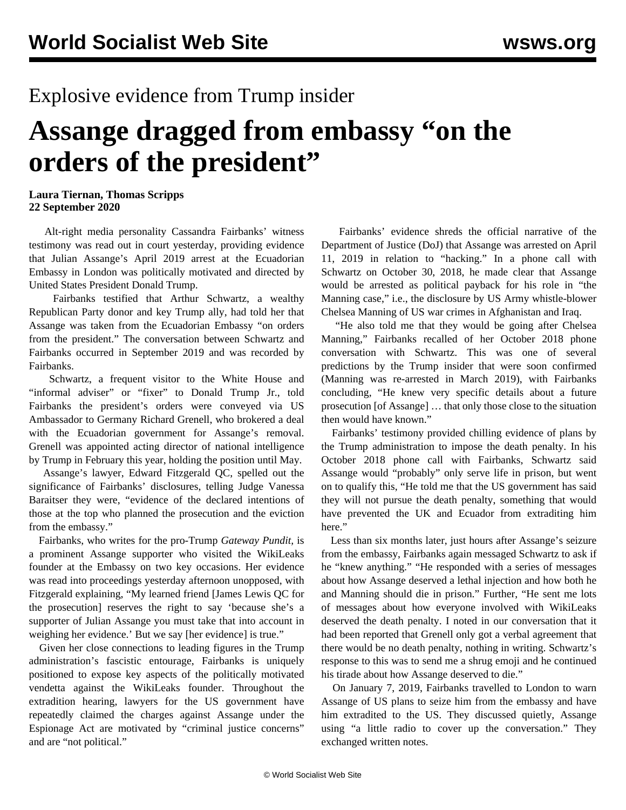## Explosive evidence from Trump insider

## **Assange dragged from embassy "on the orders of the president"**

## **Laura Tiernan, Thomas Scripps 22 September 2020**

 Alt-right media personality Cassandra Fairbanks' witness testimony was read out in court yesterday, providing evidence that Julian Assange's April 2019 arrest at the Ecuadorian Embassy in London was politically motivated and directed by United States President Donald Trump.

 Fairbanks testified that Arthur Schwartz, a wealthy Republican Party donor and key Trump ally, had told her that Assange was taken from the Ecuadorian Embassy "on orders from the president." The conversation between Schwartz and Fairbanks occurred in September 2019 and was recorded by Fairbanks.

 Schwartz, a frequent visitor to the White House and "informal adviser" or "fixer" to Donald Trump Jr., told Fairbanks the president's orders were conveyed via US Ambassador to Germany Richard Grenell, who brokered a deal with the Ecuadorian government for Assange's removal. Grenell was appointed acting director of national intelligence by Trump in February this year, holding the position until May.

 Assange's lawyer, Edward Fitzgerald QC, spelled out the significance of Fairbanks' disclosures, telling Judge Vanessa Baraitser they were, "evidence of the declared intentions of those at the top who planned the prosecution and the eviction from the embassy."

 Fairbanks, who writes for the pro-Trump *Gateway Pundit,* is a prominent Assange supporter who visited the WikiLeaks founder at the Embassy on two key occasions. Her evidence was read into proceedings yesterday afternoon unopposed, with Fitzgerald explaining, "My learned friend [James Lewis QC for the prosecution] reserves the right to say 'because she's a supporter of Julian Assange you must take that into account in weighing her evidence.' But we say [her evidence] is true."

 Given her close connections to leading figures in the Trump administration's fascistic entourage, Fairbanks is uniquely positioned to expose key aspects of the politically motivated vendetta against the WikiLeaks founder. Throughout the extradition hearing, lawyers for the US government have repeatedly claimed the charges against Assange under the Espionage Act are motivated by "criminal justice concerns" and are "not political."

 Fairbanks' evidence shreds the official narrative of the Department of Justice (DoJ) that Assange was arrested on April 11, 2019 in relation to "hacking." In a phone call with Schwartz on October 30, 2018, he made clear that Assange would be arrested as political payback for his role in "the Manning case," i.e., the disclosure by US Army whistle-blower Chelsea Manning of US war crimes in Afghanistan and Iraq.

 "He also told me that they would be going after Chelsea Manning," Fairbanks recalled of her October 2018 phone conversation with Schwartz. This was one of several predictions by the Trump insider that were soon confirmed (Manning was re-arrested in March 2019), with Fairbanks concluding, "He knew very specific details about a future prosecution [of Assange] … that only those close to the situation then would have known."

 Fairbanks' testimony provided chilling evidence of plans by the Trump administration to impose the death penalty. In his October 2018 phone call with Fairbanks, Schwartz said Assange would "probably" only serve life in prison, but went on to qualify this, "He told me that the US government has said they will not pursue the death penalty, something that would have prevented the UK and Ecuador from extraditing him here."

 Less than six months later, just hours after Assange's seizure from the embassy, Fairbanks again messaged Schwartz to ask if he "knew anything." "He responded with a series of messages about how Assange deserved a lethal injection and how both he and Manning should die in prison." Further, "He sent me lots of messages about how everyone involved with WikiLeaks deserved the death penalty. I noted in our conversation that it had been reported that Grenell only got a verbal agreement that there would be no death penalty, nothing in writing. Schwartz's response to this was to send me a shrug emoji and he continued his tirade about how Assange deserved to die."

 On January 7, 2019, Fairbanks travelled to London to warn Assange of US plans to seize him from the embassy and have him extradited to the US. They discussed quietly, Assange using "a little radio to cover up the conversation." They exchanged written notes.